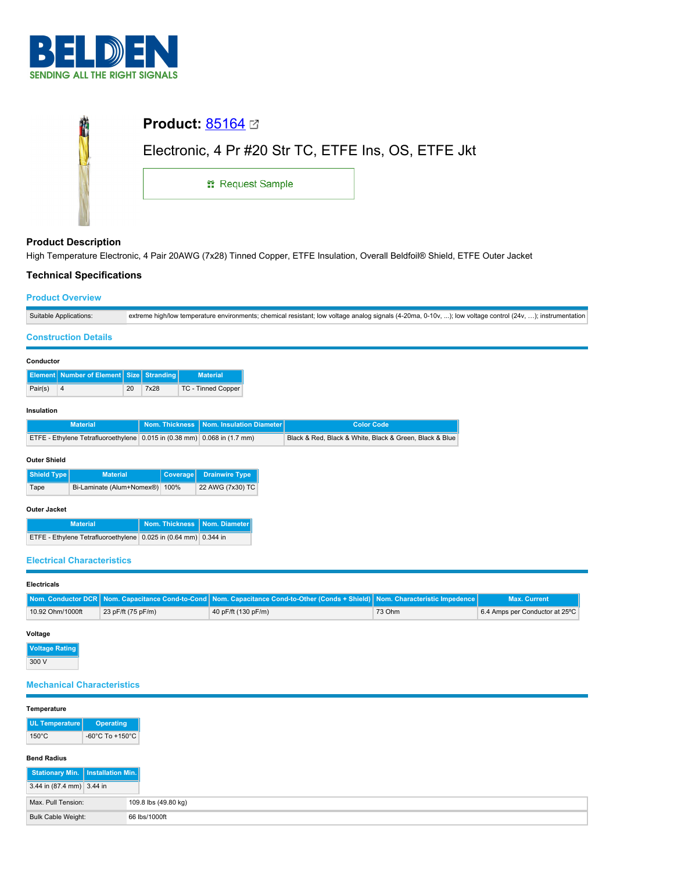

| <b>Product:</b> $85164 \n\text{C}$                  |  |  |  |  |  |
|-----------------------------------------------------|--|--|--|--|--|
| Electronic, 4 Pr #20 Str TC, ETFE Ins, OS, ETFE Jkt |  |  |  |  |  |
| <b>: Request Sample</b>                             |  |  |  |  |  |
|                                                     |  |  |  |  |  |

## **Product Description**

High Temperature Electronic, 4 Pair 20AWG (7x28) Tinned Copper, ETFE Insulation, Overall Beldfoil® Shield, ETFE Outer Jacket

## **Technical Specifications**

## **Product Overview**

| Suitable<br>Applications: | w temperature environments; chemical resistant; low voltage analog signals (4-20ma, 0-10v, ),<br>): low voltage control (24∨.<br>∵ instrumenta |
|---------------------------|------------------------------------------------------------------------------------------------------------------------------------------------|

## **Construction Details**

| Conductor    |                                                                          |    |      |  |                                           |  |                                                         |
|--------------|--------------------------------------------------------------------------|----|------|--|-------------------------------------------|--|---------------------------------------------------------|
|              | <b>Element</b> Number of Element Size Stranding                          |    |      |  | <b>Material</b>                           |  |                                                         |
| Pair(s)      | $\overline{4}$                                                           | 20 | 7x28 |  | <b>TC - Tinned Copper</b>                 |  |                                                         |
| Insulation   |                                                                          |    |      |  |                                           |  |                                                         |
|              | <b>Material</b>                                                          |    |      |  | Nom. Thickness   Nom. Insulation Diameter |  | <b>Color Code</b>                                       |
|              | ETFE - Ethylene Tetrafluoroethylene 0.015 in (0.38 mm) 0.068 in (1.7 mm) |    |      |  |                                           |  | Black & Red, Black & White, Black & Green, Black & Blue |
| Outer Shield |                                                                          |    |      |  |                                           |  |                                                         |
|              |                                                                          |    |      |  |                                           |  |                                                         |

| Shield Type | <b>Material</b>                | Coverage Drainwire Type |
|-------------|--------------------------------|-------------------------|
| Tape        | Bi-Laminate (Alum+Nomex®) 100% | 22 AWG (7x30) TC        |

## **Outer Jacket**

| <b>Material</b>                                                 | Nom. Thickness   Nom. Diameter |  |
|-----------------------------------------------------------------|--------------------------------|--|
| ETFE - Ethylene Tetrafluoroethylene 0.025 in (0.64 mm) 0.344 in |                                |  |

### **Electrical Characteristics**

## **Electricals**

|                  |                    | <b>Nom. Conductor DCR   Nom. Capacitance Cond-to-Cond   Nom. Capacitance Cond-to-Other (Conds + Shield)   Nom. Characteristic Impedence  </b> |        | <b>Max. Current</b>            |
|------------------|--------------------|-----------------------------------------------------------------------------------------------------------------------------------------------|--------|--------------------------------|
| 10.92 Ohm/1000ft | 23 pF/ft (75 pF/m) | 40 pF/ft (130 pF/m)                                                                                                                           | 73 Ohm | 6.4 Amps per Conductor at 25°C |

#### **Voltage**

**Voltage Rating** 300 V

# **Mechanical Characteristics**

## **Temperature**

| UL Temperature  | <b>Operating</b>                    |
|-----------------|-------------------------------------|
| $150^{\circ}$ C | $-60^{\circ}$ C To $+150^{\circ}$ C |

## **Bend Radius**

| Stationary Min.   Installation Min. |                      |
|-------------------------------------|----------------------|
| $3.44$ in (87.4 mm) 3.44 in         |                      |
| Max. Pull Tension:                  | 109.8 lbs (49.80 kg) |
| Bulk Cable Weight:                  | 66 lbs/1000ft        |